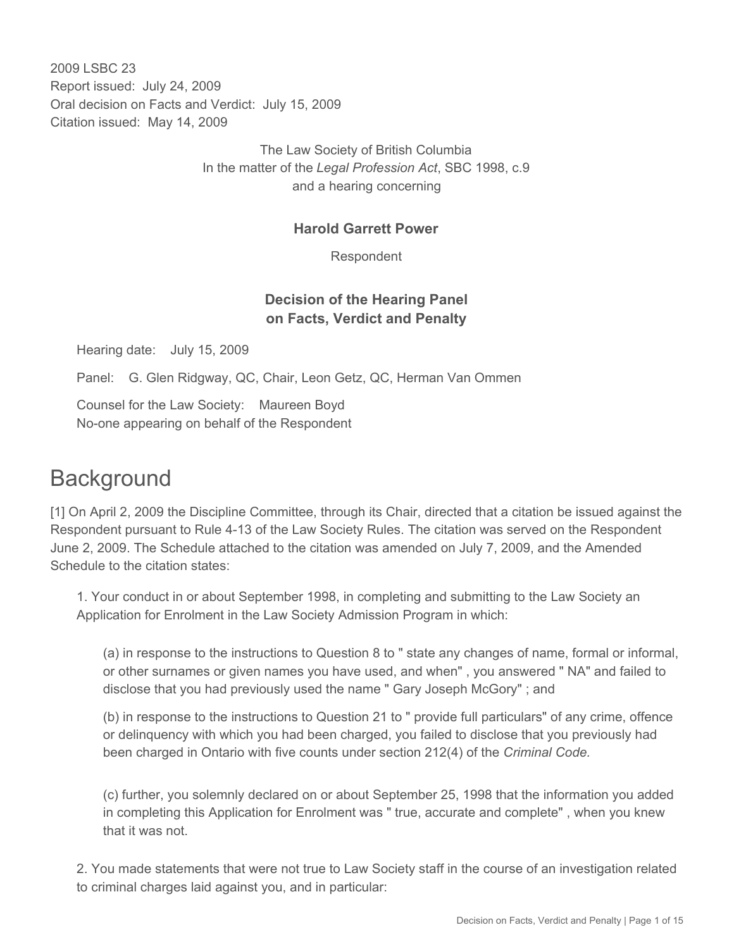2009 LSBC 23 Report issued: July 24, 2009 Oral decision on Facts and Verdict: July 15, 2009 Citation issued: May 14, 2009

> The Law Society of British Columbia In the matter of the *Legal Profession Act*, SBC 1998, c.9 and a hearing concerning

#### **Harold Garrett Power**

Respondent

## **Decision of the Hearing Panel on Facts, Verdict and Penalty**

Hearing date: July 15, 2009

Panel: G. Glen Ridgway, QC, Chair, Leon Getz, QC, Herman Van Ommen

Counsel for the Law Society: Maureen Boyd No-one appearing on behalf of the Respondent

# **Background**

[1] On April 2, 2009 the Discipline Committee, through its Chair, directed that a citation be issued against the Respondent pursuant to Rule 4-13 of the Law Society Rules. The citation was served on the Respondent June 2, 2009. The Schedule attached to the citation was amended on July 7, 2009, and the Amended Schedule to the citation states:

1. Your conduct in or about September 1998, in completing and submitting to the Law Society an Application for Enrolment in the Law Society Admission Program in which:

(a) in response to the instructions to Question 8 to " state any changes of name, formal or informal, or other surnames or given names you have used, and when" , you answered " NA" and failed to disclose that you had previously used the name " Gary Joseph McGory" ; and

(b) in response to the instructions to Question 21 to " provide full particulars" of any crime, offence or delinquency with which you had been charged, you failed to disclose that you previously had been charged in Ontario with five counts under section 212(4) of the *Criminal Code.*

(c) further, you solemnly declared on or about September 25, 1998 that the information you added in completing this Application for Enrolment was " true, accurate and complete" , when you knew that it was not.

2. You made statements that were not true to Law Society staff in the course of an investigation related to criminal charges laid against you, and in particular: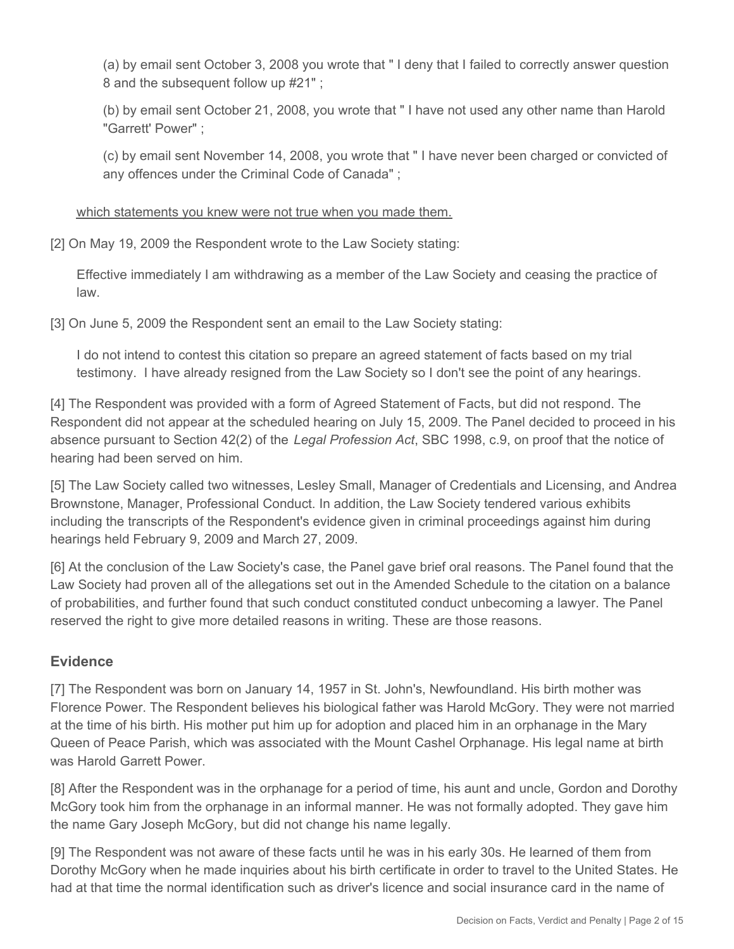(a) by email sent October 3, 2008 you wrote that " I deny that I failed to correctly answer question 8 and the subsequent follow up #21" ;

(b) by email sent October 21, 2008, you wrote that " I have not used any other name than Harold "Garrett' Power" ;

(c) by email sent November 14, 2008, you wrote that " I have never been charged or convicted of any offences under the Criminal Code of Canada" ;

which statements you knew were not true when you made them.

[2] On May 19, 2009 the Respondent wrote to the Law Society stating:

Effective immediately I am withdrawing as a member of the Law Society and ceasing the practice of law.

[3] On June 5, 2009 the Respondent sent an email to the Law Society stating:

I do not intend to contest this citation so prepare an agreed statement of facts based on my trial testimony. I have already resigned from the Law Society so I don't see the point of any hearings.

[4] The Respondent was provided with a form of Agreed Statement of Facts, but did not respond. The Respondent did not appear at the scheduled hearing on July 15, 2009. The Panel decided to proceed in his absence pursuant to Section 42(2) of the *Legal Profession Act*, SBC 1998, c.9, on proof that the notice of hearing had been served on him.

[5] The Law Society called two witnesses, Lesley Small, Manager of Credentials and Licensing, and Andrea Brownstone, Manager, Professional Conduct. In addition, the Law Society tendered various exhibits including the transcripts of the Respondent's evidence given in criminal proceedings against him during hearings held February 9, 2009 and March 27, 2009.

[6] At the conclusion of the Law Society's case, the Panel gave brief oral reasons. The Panel found that the Law Society had proven all of the allegations set out in the Amended Schedule to the citation on a balance of probabilities, and further found that such conduct constituted conduct unbecoming a lawyer. The Panel reserved the right to give more detailed reasons in writing. These are those reasons.

## **Evidence**

[7] The Respondent was born on January 14, 1957 in St. John's, Newfoundland. His birth mother was Florence Power. The Respondent believes his biological father was Harold McGory. They were not married at the time of his birth. His mother put him up for adoption and placed him in an orphanage in the Mary Queen of Peace Parish, which was associated with the Mount Cashel Orphanage. His legal name at birth was Harold Garrett Power.

[8] After the Respondent was in the orphanage for a period of time, his aunt and uncle, Gordon and Dorothy McGory took him from the orphanage in an informal manner. He was not formally adopted. They gave him the name Gary Joseph McGory, but did not change his name legally.

[9] The Respondent was not aware of these facts until he was in his early 30s. He learned of them from Dorothy McGory when he made inquiries about his birth certificate in order to travel to the United States. He had at that time the normal identification such as driver's licence and social insurance card in the name of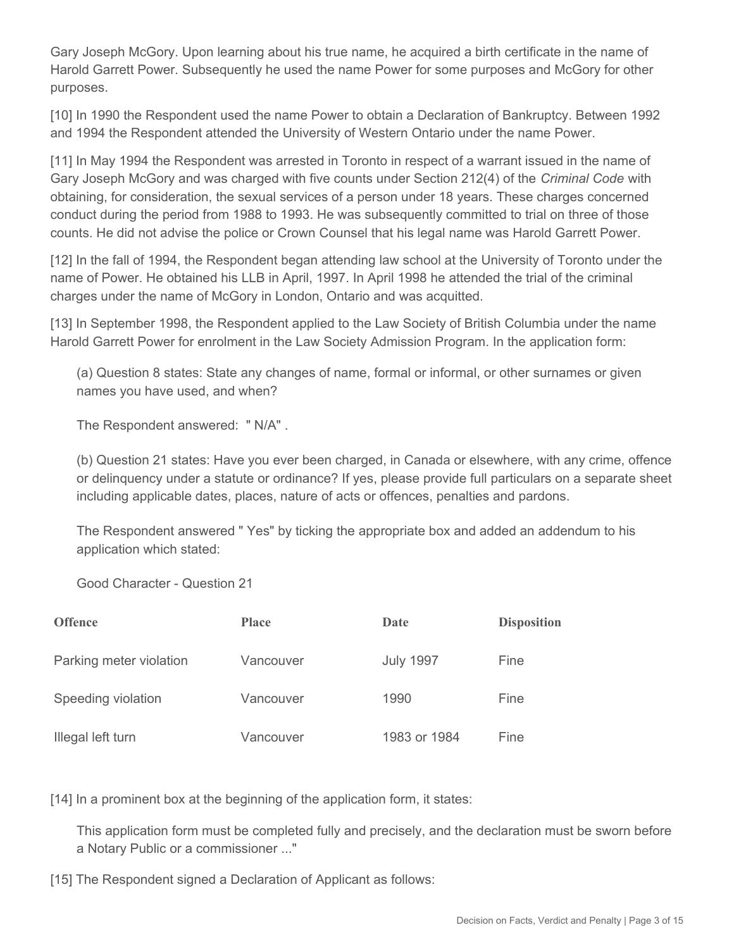Gary Joseph McGory. Upon learning about his true name, he acquired a birth certificate in the name of Harold Garrett Power. Subsequently he used the name Power for some purposes and McGory for other purposes.

[10] In 1990 the Respondent used the name Power to obtain a Declaration of Bankruptcy. Between 1992 and 1994 the Respondent attended the University of Western Ontario under the name Power.

[11] In May 1994 the Respondent was arrested in Toronto in respect of a warrant issued in the name of Gary Joseph McGory and was charged with five counts under Section 212(4) of the *Criminal Code* with obtaining, for consideration, the sexual services of a person under 18 years. These charges concerned conduct during the period from 1988 to 1993. He was subsequently committed to trial on three of those counts. He did not advise the police or Crown Counsel that his legal name was Harold Garrett Power.

[12] In the fall of 1994, the Respondent began attending law school at the University of Toronto under the name of Power. He obtained his LLB in April, 1997. In April 1998 he attended the trial of the criminal charges under the name of McGory in London, Ontario and was acquitted.

[13] In September 1998, the Respondent applied to the Law Society of British Columbia under the name Harold Garrett Power for enrolment in the Law Society Admission Program. In the application form:

(a) Question 8 states: State any changes of name, formal or informal, or other surnames or given names you have used, and when?

The Respondent answered: " N/A" .

(b) Question 21 states: Have you ever been charged, in Canada or elsewhere, with any crime, offence or delinquency under a statute or ordinance? If yes, please provide full particulars on a separate sheet including applicable dates, places, nature of acts or offences, penalties and pardons.

The Respondent answered " Yes" by ticking the appropriate box and added an addendum to his application which stated:

Good Character - Question 21

| <b>Offence</b>          | <b>Place</b> | Date             | <b>Disposition</b> |
|-------------------------|--------------|------------------|--------------------|
| Parking meter violation | Vancouver    | <b>July 1997</b> | Fine               |
| Speeding violation      | Vancouver    | 1990             | Fine               |
| Illegal left turn       | Vancouver    | 1983 or 1984     | Fine               |

[14] In a prominent box at the beginning of the application form, it states:

This application form must be completed fully and precisely, and the declaration must be sworn before a Notary Public or a commissioner ..."

[15] The Respondent signed a Declaration of Applicant as follows: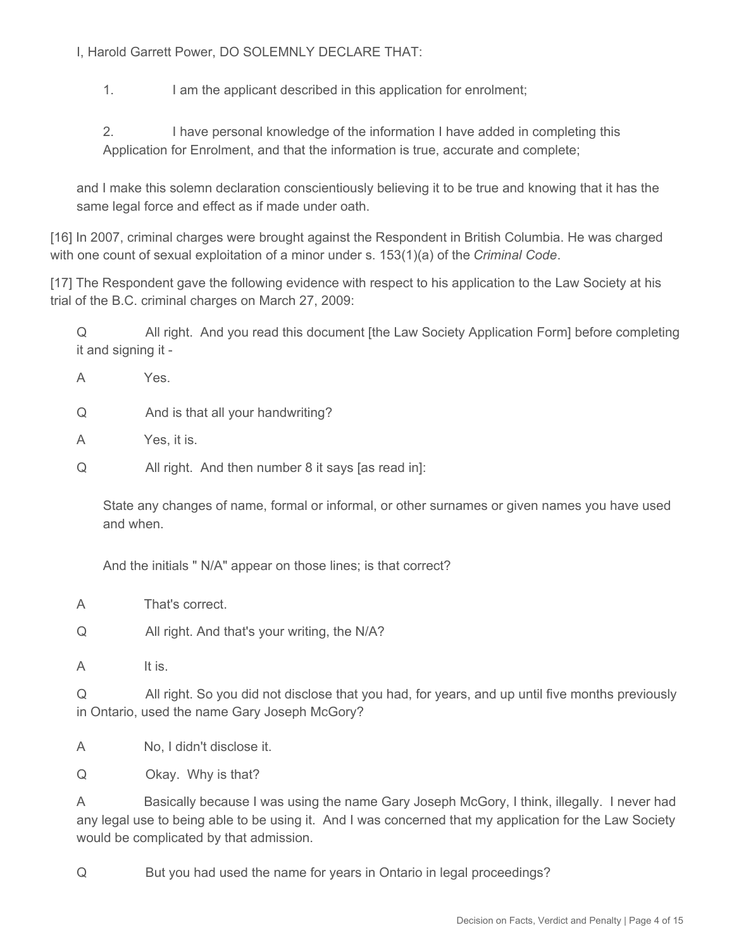I, Harold Garrett Power, DO SOLEMNLY DECLARE THAT:

1. I am the applicant described in this application for enrolment;

2. I have personal knowledge of the information I have added in completing this Application for Enrolment, and that the information is true, accurate and complete;

and I make this solemn declaration conscientiously believing it to be true and knowing that it has the same legal force and effect as if made under oath.

[16] In 2007, criminal charges were brought against the Respondent in British Columbia. He was charged with one count of sexual exploitation of a minor under s. 153(1)(a) of the *Criminal Code*.

[17] The Respondent gave the following evidence with respect to his application to the Law Society at his trial of the B.C. criminal charges on March 27, 2009:

Q All right. And you read this document [the Law Society Application Form] before completing it and signing it -

A Yes.

Q And is that all your handwriting?

A Yes, it is.

Q All right. And then number 8 it says [as read in]:

State any changes of name, formal or informal, or other surnames or given names you have used and when.

And the initials " N/A" appear on those lines; is that correct?

A That's correct.

Q All right. And that's your writing, the N/A?

A It is.

Q All right. So you did not disclose that you had, for years, and up until five months previously in Ontario, used the name Gary Joseph McGory?

A No, I didn't disclose it.

Q Okay. Why is that?

A Basically because I was using the name Gary Joseph McGory, I think, illegally. I never had any legal use to being able to be using it. And I was concerned that my application for the Law Society would be complicated by that admission.

Q But you had used the name for years in Ontario in legal proceedings?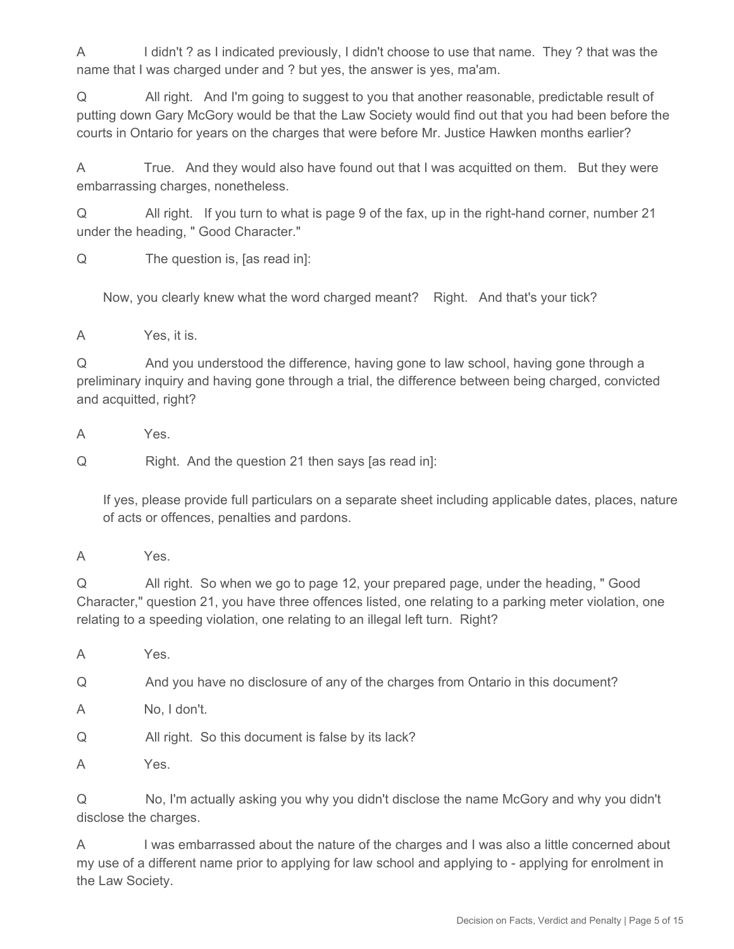A I didn't ? as I indicated previously, I didn't choose to use that name. They ? that was the name that I was charged under and ? but yes, the answer is yes, ma'am.

Q All right. And I'm going to suggest to you that another reasonable, predictable result of putting down Gary McGory would be that the Law Society would find out that you had been before the courts in Ontario for years on the charges that were before Mr. Justice Hawken months earlier?

A True. And they would also have found out that I was acquitted on them. But they were embarrassing charges, nonetheless.

Q All right. If you turn to what is page 9 of the fax, up in the right-hand corner, number 21 under the heading, " Good Character."

Q The question is, [as read in]:

Now, you clearly knew what the word charged meant? Right. And that's your tick?

A Yes, it is.

Q And you understood the difference, having gone to law school, having gone through a preliminary inquiry and having gone through a trial, the difference between being charged, convicted and acquitted, right?

A Yes.

Q Right. And the question 21 then says [as read in]:

If yes, please provide full particulars on a separate sheet including applicable dates, places, nature of acts or offences, penalties and pardons.

Q All right. So when we go to page 12, your prepared page, under the heading, " Good Character," question 21, you have three offences listed, one relating to a parking meter violation, one relating to a speeding violation, one relating to an illegal left turn. Right?

A Yes.

Q And you have no disclosure of any of the charges from Ontario in this document?

A No, I don't.

Q All right. So this document is false by its lack?

A Yes.

Q No, I'm actually asking you why you didn't disclose the name McGory and why you didn't disclose the charges.

A I was embarrassed about the nature of the charges and I was also a little concerned about my use of a different name prior to applying for law school and applying to - applying for enrolment in the Law Society.

A Yes.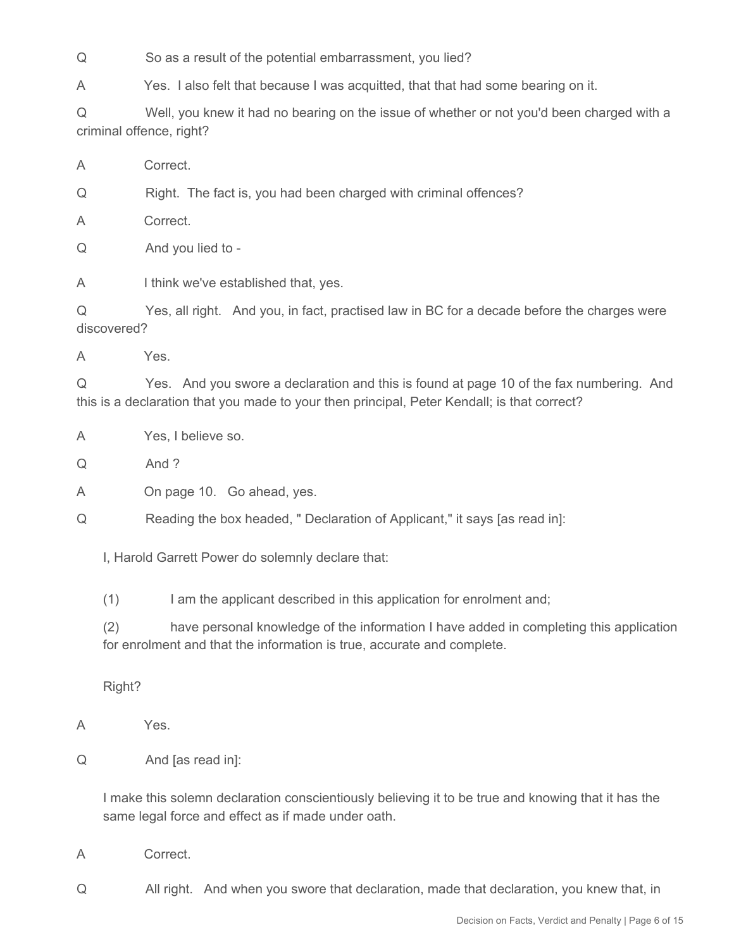Q So as a result of the potential embarrassment, you lied?

A Yes. I also felt that because I was acquitted, that that had some bearing on it.

Q Well, you knew it had no bearing on the issue of whether or not you'd been charged with a criminal offence, right?

A Correct.

Q Right. The fact is, you had been charged with criminal offences?

A Correct.

Q And you lied to -

A I think we've established that, yes.

Q Yes, all right. And you, in fact, practised law in BC for a decade before the charges were discovered?

A Yes.

Q Yes. And you swore a declaration and this is found at page 10 of the fax numbering. And this is a declaration that you made to your then principal, Peter Kendall; is that correct?

A Yes, I believe so.

Q And ?

A On page 10. Go ahead, yes.

Q Reading the box headed, " Declaration of Applicant," it says [as read in]:

I, Harold Garrett Power do solemnly declare that:

(1) I am the applicant described in this application for enrolment and;

(2) have personal knowledge of the information I have added in completing this application for enrolment and that the information is true, accurate and complete.

Right?

- A Yes.
- Q And [as read in]:

I make this solemn declaration conscientiously believing it to be true and knowing that it has the same legal force and effect as if made under oath.

A Correct.

Q All right. And when you swore that declaration, made that declaration, you knew that, in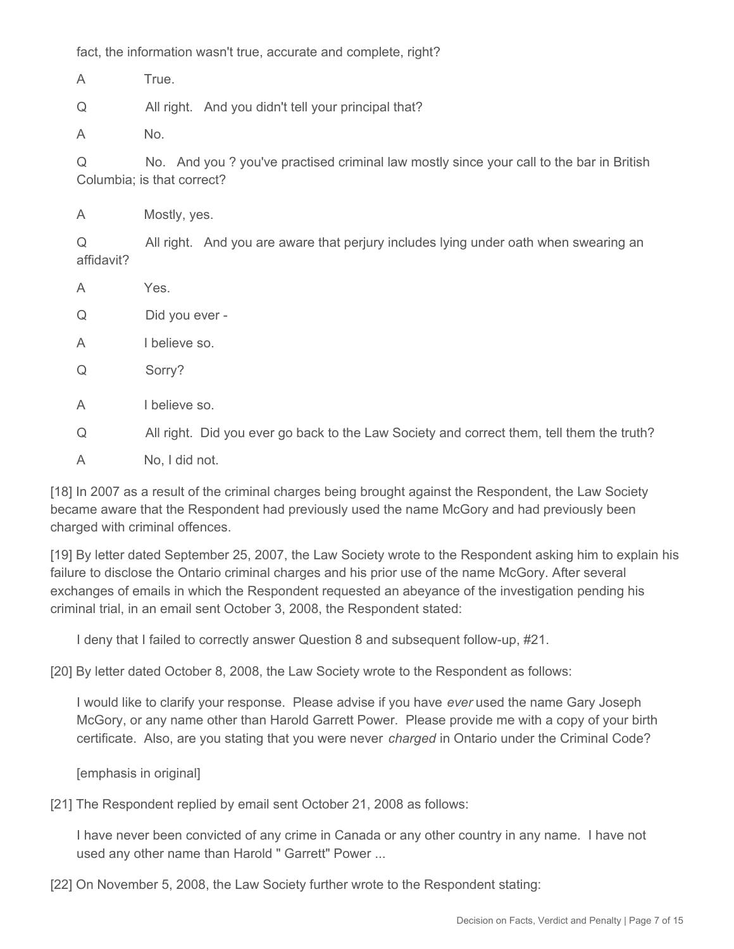fact, the information wasn't true, accurate and complete, right?

A True.

Q All right. And you didn't tell your principal that?

A No.

Q No. And you ? you've practised criminal law mostly since your call to the bar in British Columbia; is that correct?

A Mostly, yes.

Q All right. And you are aware that perjury includes lying under oath when swearing an affidavit?

- A Yes.
- Q Did you ever -
- A I believe so.
- Q Sorry?
- A I believe so.

Q All right. Did you ever go back to the Law Society and correct them, tell them the truth?

A No, I did not.

[18] In 2007 as a result of the criminal charges being brought against the Respondent, the Law Society became aware that the Respondent had previously used the name McGory and had previously been charged with criminal offences.

[19] By letter dated September 25, 2007, the Law Society wrote to the Respondent asking him to explain his failure to disclose the Ontario criminal charges and his prior use of the name McGory. After several exchanges of emails in which the Respondent requested an abeyance of the investigation pending his criminal trial, in an email sent October 3, 2008, the Respondent stated:

I deny that I failed to correctly answer Question 8 and subsequent follow-up, #21.

[20] By letter dated October 8, 2008, the Law Society wrote to the Respondent as follows:

I would like to clarify your response. Please advise if you have *ever* used the name Gary Joseph McGory, or any name other than Harold Garrett Power. Please provide me with a copy of your birth certificate. Also, are you stating that you were never *charged* in Ontario under the Criminal Code?

[emphasis in original]

[21] The Respondent replied by email sent October 21, 2008 as follows:

I have never been convicted of any crime in Canada or any other country in any name. I have not used any other name than Harold " Garrett" Power ...

[22] On November 5, 2008, the Law Society further wrote to the Respondent stating: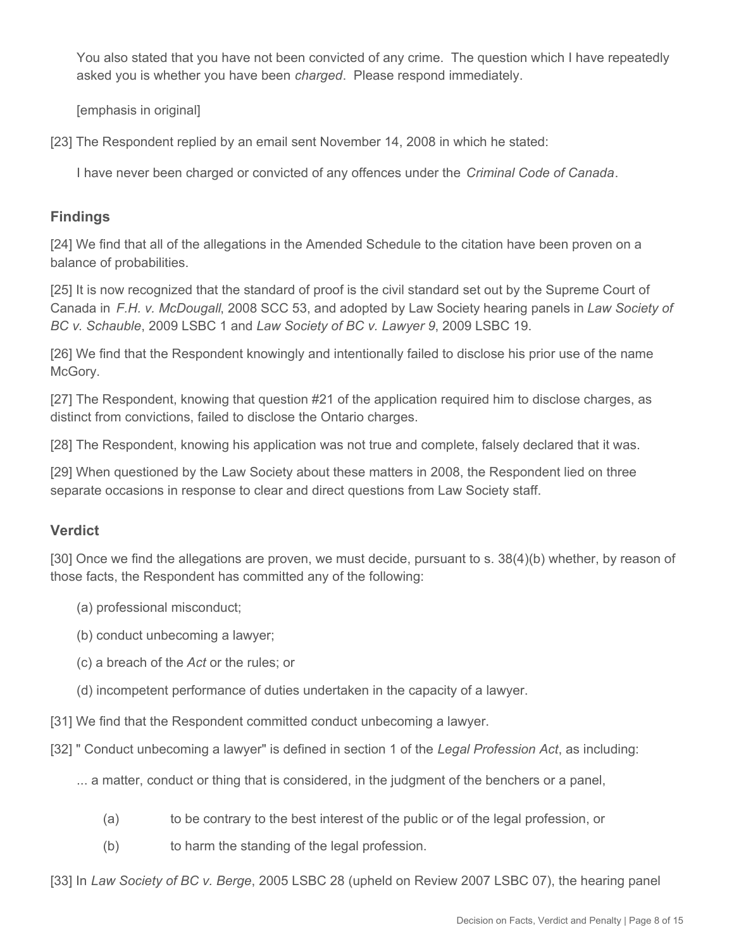You also stated that you have not been convicted of any crime. The question which I have repeatedly asked you is whether you have been *charged*. Please respond immediately.

[emphasis in original]

[23] The Respondent replied by an email sent November 14, 2008 in which he stated:

I have never been charged or convicted of any offences under the *Criminal Code of Canada*.

#### **Findings**

[24] We find that all of the allegations in the Amended Schedule to the citation have been proven on a balance of probabilities.

[25] It is now recognized that the standard of proof is the civil standard set out by the Supreme Court of Canada in *F.H. v. McDougall*, 2008 SCC 53, and adopted by Law Society hearing panels in *Law Society of BC v. Schauble*, 2009 LSBC 1 and *Law Society of BC v. Lawyer 9*, 2009 LSBC 19.

[26] We find that the Respondent knowingly and intentionally failed to disclose his prior use of the name McGory.

[27] The Respondent, knowing that question #21 of the application required him to disclose charges, as distinct from convictions, failed to disclose the Ontario charges.

[28] The Respondent, knowing his application was not true and complete, falsely declared that it was.

[29] When questioned by the Law Society about these matters in 2008, the Respondent lied on three separate occasions in response to clear and direct questions from Law Society staff.

#### **Verdict**

[30] Once we find the allegations are proven, we must decide, pursuant to s. 38(4)(b) whether, by reason of those facts, the Respondent has committed any of the following:

- (a) professional misconduct;
- (b) conduct unbecoming a lawyer;
- (c) a breach of the *Act* or the rules; or
- (d) incompetent performance of duties undertaken in the capacity of a lawyer.

[31] We find that the Respondent committed conduct unbecoming a lawyer.

- [32] " Conduct unbecoming a lawyer" is defined in section 1 of the *Legal Profession Act*, as including:
	- ... a matter, conduct or thing that is considered, in the judgment of the benchers or a panel,
		- (a) to be contrary to the best interest of the public or of the legal profession, or
		- (b) to harm the standing of the legal profession.

[33] In *Law Society of BC v. Berge*, 2005 LSBC 28 (upheld on Review 2007 LSBC 07), the hearing panel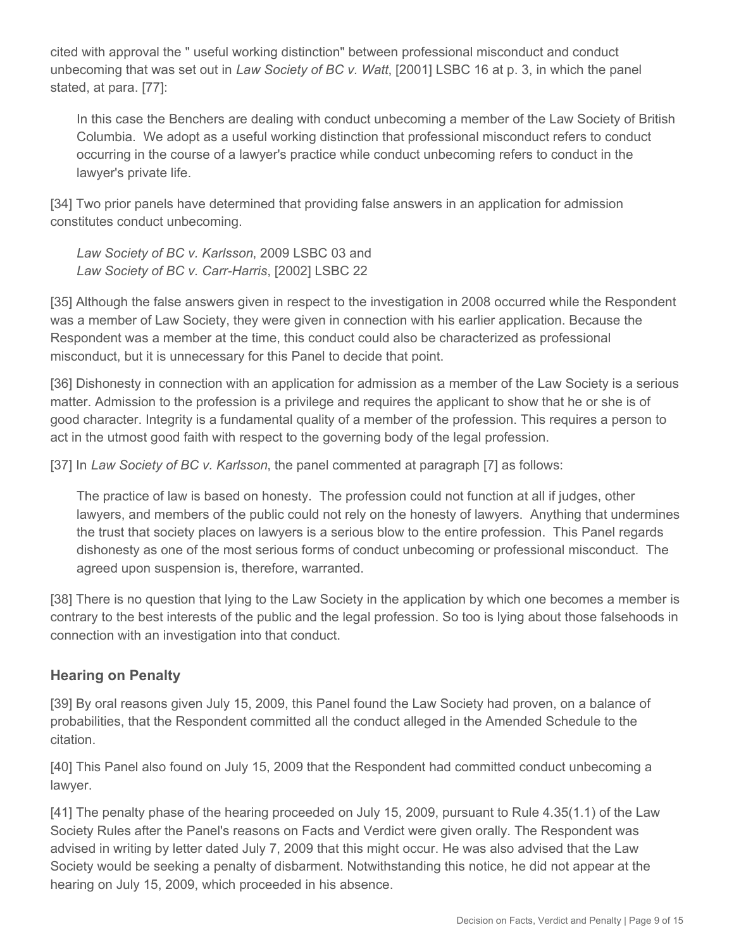cited with approval the " useful working distinction" between professional misconduct and conduct unbecoming that was set out in *Law Society of BC v. Watt*, [2001] LSBC 16 at p. 3, in which the panel stated, at para. [77]:

In this case the Benchers are dealing with conduct unbecoming a member of the Law Society of British Columbia. We adopt as a useful working distinction that professional misconduct refers to conduct occurring in the course of a lawyer's practice while conduct unbecoming refers to conduct in the lawyer's private life.

[34] Two prior panels have determined that providing false answers in an application for admission constitutes conduct unbecoming.

*Law Society of BC v. Karlsson*, 2009 LSBC 03 and *Law Society of BC v. Carr-Harris*, [2002] LSBC 22

[35] Although the false answers given in respect to the investigation in 2008 occurred while the Respondent was a member of Law Society, they were given in connection with his earlier application. Because the Respondent was a member at the time, this conduct could also be characterized as professional misconduct, but it is unnecessary for this Panel to decide that point.

[36] Dishonesty in connection with an application for admission as a member of the Law Society is a serious matter. Admission to the profession is a privilege and requires the applicant to show that he or she is of good character. Integrity is a fundamental quality of a member of the profession. This requires a person to act in the utmost good faith with respect to the governing body of the legal profession.

[37] In *Law Society of BC v. Karlsson*, the panel commented at paragraph [7] as follows:

The practice of law is based on honesty. The profession could not function at all if judges, other lawyers, and members of the public could not rely on the honesty of lawyers. Anything that undermines the trust that society places on lawyers is a serious blow to the entire profession. This Panel regards dishonesty as one of the most serious forms of conduct unbecoming or professional misconduct. The agreed upon suspension is, therefore, warranted.

[38] There is no question that lying to the Law Society in the application by which one becomes a member is contrary to the best interests of the public and the legal profession. So too is lying about those falsehoods in connection with an investigation into that conduct.

# **Hearing on Penalty**

[39] By oral reasons given July 15, 2009, this Panel found the Law Society had proven, on a balance of probabilities, that the Respondent committed all the conduct alleged in the Amended Schedule to the citation.

[40] This Panel also found on July 15, 2009 that the Respondent had committed conduct unbecoming a lawyer.

[41] The penalty phase of the hearing proceeded on July 15, 2009, pursuant to Rule 4.35(1.1) of the Law Society Rules after the Panel's reasons on Facts and Verdict were given orally. The Respondent was advised in writing by letter dated July 7, 2009 that this might occur. He was also advised that the Law Society would be seeking a penalty of disbarment. Notwithstanding this notice, he did not appear at the hearing on July 15, 2009, which proceeded in his absence.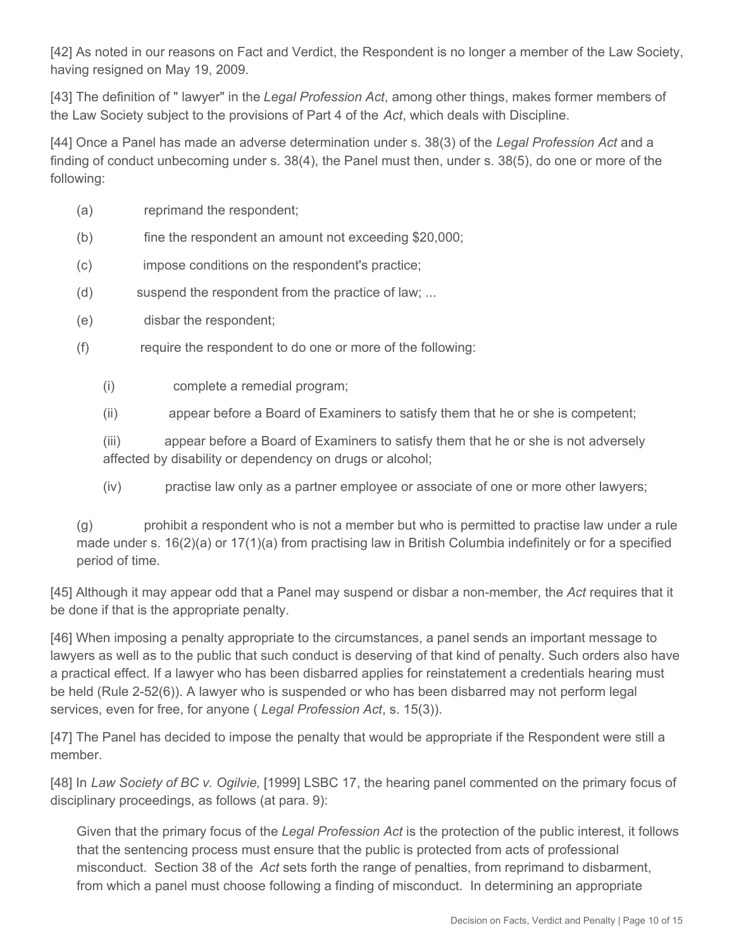[42] As noted in our reasons on Fact and Verdict, the Respondent is no longer a member of the Law Society, having resigned on May 19, 2009.

[43] The definition of " lawyer" in the *Legal Profession Act*, among other things, makes former members of the Law Society subject to the provisions of Part 4 of the *Act*, which deals with Discipline.

[44] Once a Panel has made an adverse determination under s. 38(3) of the *Legal Profession Act* and a finding of conduct unbecoming under s. 38(4), the Panel must then, under s. 38(5), do one or more of the following:

- (a) reprimand the respondent;
- (b) fine the respondent an amount not exceeding \$20,000;
- (c) impose conditions on the respondent's practice;
- (d) suspend the respondent from the practice of law; ...
- (e) disbar the respondent;
- (f) require the respondent to do one or more of the following:
	- (i) complete a remedial program;
	- (ii) appear before a Board of Examiners to satisfy them that he or she is competent;

(iii) appear before a Board of Examiners to satisfy them that he or she is not adversely affected by disability or dependency on drugs or alcohol;

(iv) practise law only as a partner employee or associate of one or more other lawyers;

(g) prohibit a respondent who is not a member but who is permitted to practise law under a rule made under s. 16(2)(a) or 17(1)(a) from practising law in British Columbia indefinitely or for a specified period of time.

[45] Although it may appear odd that a Panel may suspend or disbar a non-member, the *Act* requires that it be done if that is the appropriate penalty.

[46] When imposing a penalty appropriate to the circumstances, a panel sends an important message to lawyers as well as to the public that such conduct is deserving of that kind of penalty. Such orders also have a practical effect. If a lawyer who has been disbarred applies for reinstatement a credentials hearing must be held (Rule 2-52(6)). A lawyer who is suspended or who has been disbarred may not perform legal services, even for free, for anyone ( *Legal Profession Act*, s. 15(3)).

[47] The Panel has decided to impose the penalty that would be appropriate if the Respondent were still a member.

[48] In *Law Society of BC v. Ogilvie,* [1999] LSBC 17, the hearing panel commented on the primary focus of disciplinary proceedings, as follows (at para. 9):

Given that the primary focus of the *Legal Profession Act* is the protection of the public interest, it follows that the sentencing process must ensure that the public is protected from acts of professional misconduct. Section 38 of the *Act* sets forth the range of penalties, from reprimand to disbarment, from which a panel must choose following a finding of misconduct. In determining an appropriate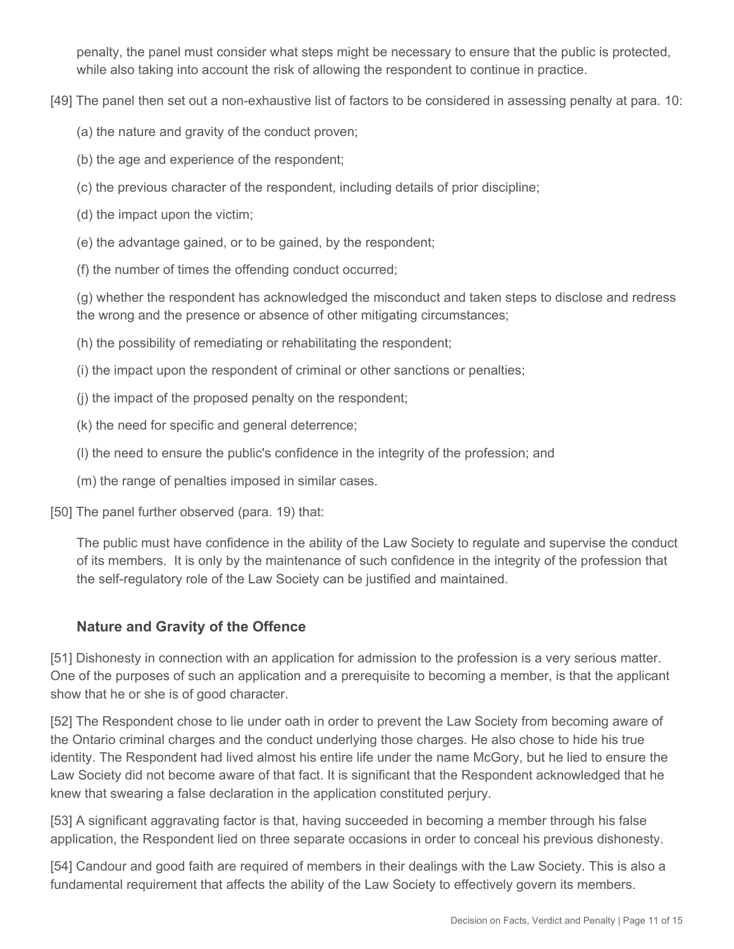penalty, the panel must consider what steps might be necessary to ensure that the public is protected, while also taking into account the risk of allowing the respondent to continue in practice.

[49] The panel then set out a non-exhaustive list of factors to be considered in assessing penalty at para. 10:

- (a) the nature and gravity of the conduct proven;
- (b) the age and experience of the respondent;
- (c) the previous character of the respondent, including details of prior discipline;
- (d) the impact upon the victim;
- (e) the advantage gained, or to be gained, by the respondent;
- (f) the number of times the offending conduct occurred;

(g) whether the respondent has acknowledged the misconduct and taken steps to disclose and redress the wrong and the presence or absence of other mitigating circumstances;

- (h) the possibility of remediating or rehabilitating the respondent;
- (i) the impact upon the respondent of criminal or other sanctions or penalties;
- (j) the impact of the proposed penalty on the respondent;
- (k) the need for specific and general deterrence;
- (l) the need to ensure the public's confidence in the integrity of the profession; and
- (m) the range of penalties imposed in similar cases.

[50] The panel further observed (para. 19) that:

The public must have confidence in the ability of the Law Society to regulate and supervise the conduct of its members. It is only by the maintenance of such confidence in the integrity of the profession that the self-regulatory role of the Law Society can be justified and maintained.

## **Nature and Gravity of the Offence**

[51] Dishonesty in connection with an application for admission to the profession is a very serious matter. One of the purposes of such an application and a prerequisite to becoming a member, is that the applicant show that he or she is of good character.

[52] The Respondent chose to lie under oath in order to prevent the Law Society from becoming aware of the Ontario criminal charges and the conduct underlying those charges. He also chose to hide his true identity. The Respondent had lived almost his entire life under the name McGory, but he lied to ensure the Law Society did not become aware of that fact. It is significant that the Respondent acknowledged that he knew that swearing a false declaration in the application constituted perjury.

[53] A significant aggravating factor is that, having succeeded in becoming a member through his false application, the Respondent lied on three separate occasions in order to conceal his previous dishonesty.

[54] Candour and good faith are required of members in their dealings with the Law Society. This is also a fundamental requirement that affects the ability of the Law Society to effectively govern its members.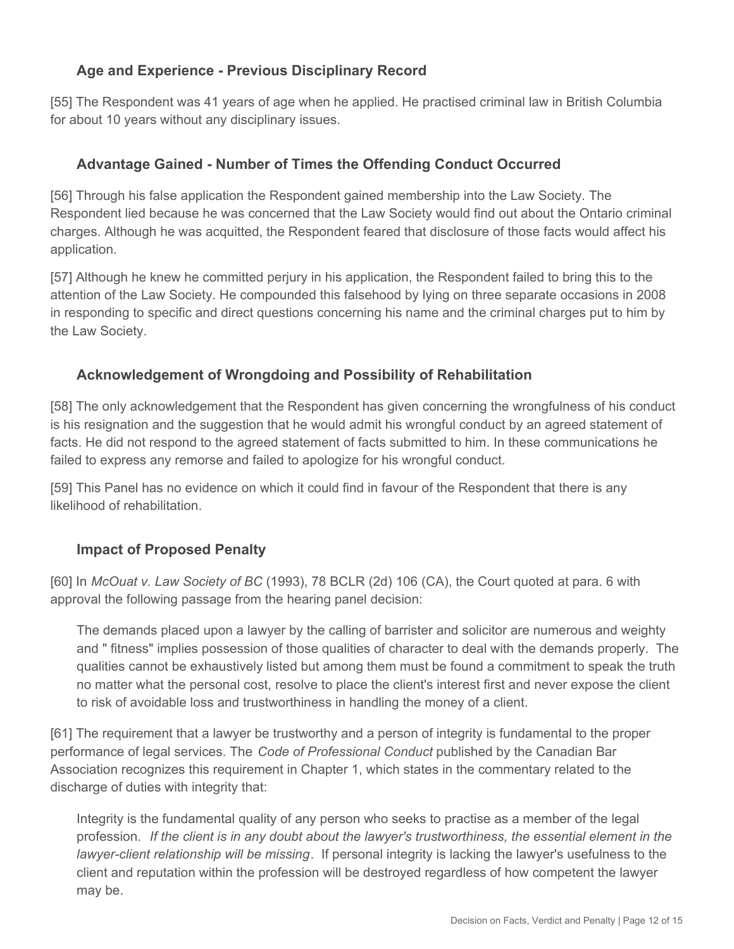## **Age and Experience - Previous Disciplinary Record**

[55] The Respondent was 41 years of age when he applied. He practised criminal law in British Columbia for about 10 years without any disciplinary issues.

# **Advantage Gained - Number of Times the Offending Conduct Occurred**

[56] Through his false application the Respondent gained membership into the Law Society. The Respondent lied because he was concerned that the Law Society would find out about the Ontario criminal charges. Although he was acquitted, the Respondent feared that disclosure of those facts would affect his application.

[57] Although he knew he committed perjury in his application, the Respondent failed to bring this to the attention of the Law Society. He compounded this falsehood by lying on three separate occasions in 2008 in responding to specific and direct questions concerning his name and the criminal charges put to him by the Law Society.

## **Acknowledgement of Wrongdoing and Possibility of Rehabilitation**

[58] The only acknowledgement that the Respondent has given concerning the wrongfulness of his conduct is his resignation and the suggestion that he would admit his wrongful conduct by an agreed statement of facts. He did not respond to the agreed statement of facts submitted to him. In these communications he failed to express any remorse and failed to apologize for his wrongful conduct.

[59] This Panel has no evidence on which it could find in favour of the Respondent that there is any likelihood of rehabilitation.

## **Impact of Proposed Penalty**

[60] In *McOuat v. Law Society of BC* (1993), 78 BCLR (2d) 106 (CA), the Court quoted at para. 6 with approval the following passage from the hearing panel decision:

The demands placed upon a lawyer by the calling of barrister and solicitor are numerous and weighty and " fitness" implies possession of those qualities of character to deal with the demands properly. The qualities cannot be exhaustively listed but among them must be found a commitment to speak the truth no matter what the personal cost, resolve to place the client's interest first and never expose the client to risk of avoidable loss and trustworthiness in handling the money of a client.

[61] The requirement that a lawyer be trustworthy and a person of integrity is fundamental to the proper performance of legal services. The *Code of Professional Conduct* published by the Canadian Bar Association recognizes this requirement in Chapter 1, which states in the commentary related to the discharge of duties with integrity that:

Integrity is the fundamental quality of any person who seeks to practise as a member of the legal profession. *If the client is in any doubt about the lawyer's trustworthiness, the essential element in the lawyer-client relationship will be missing*. If personal integrity is lacking the lawyer's usefulness to the client and reputation within the profession will be destroyed regardless of how competent the lawyer may be.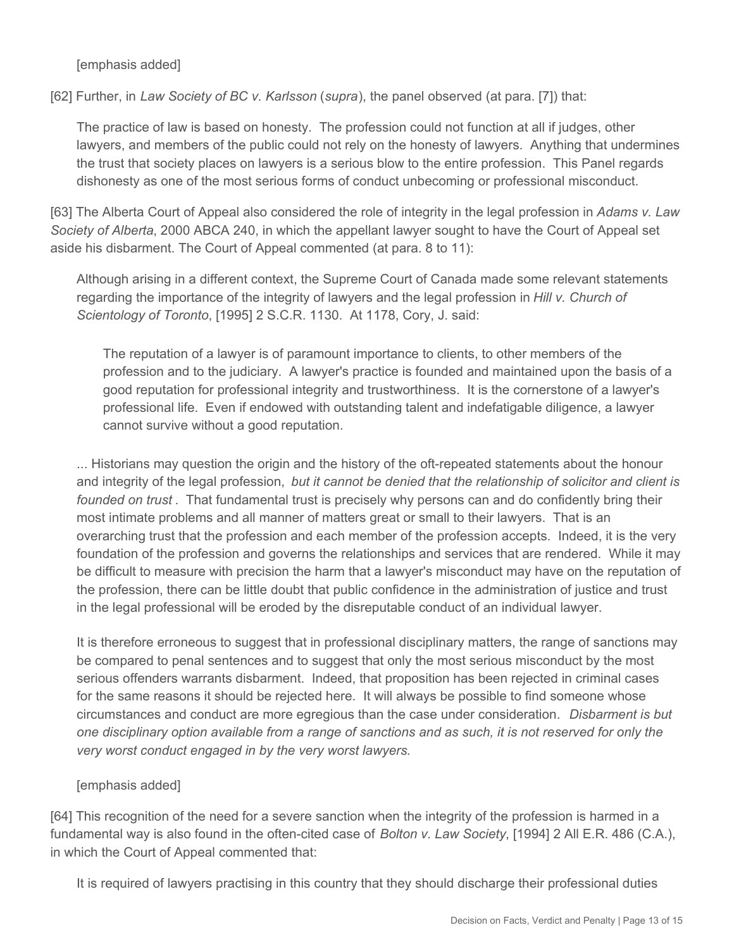[emphasis added]

[62] Further, in *Law Society of BC v. Karlsson* (*supra*), the panel observed (at para. [7]) that:

The practice of law is based on honesty. The profession could not function at all if judges, other lawyers, and members of the public could not rely on the honesty of lawyers. Anything that undermines the trust that society places on lawyers is a serious blow to the entire profession. This Panel regards dishonesty as one of the most serious forms of conduct unbecoming or professional misconduct.

[63] The Alberta Court of Appeal also considered the role of integrity in the legal profession in *Adams v. Law Society of Alberta*, 2000 ABCA 240, in which the appellant lawyer sought to have the Court of Appeal set aside his disbarment. The Court of Appeal commented (at para. 8 to 11):

Although arising in a different context, the Supreme Court of Canada made some relevant statements regarding the importance of the integrity of lawyers and the legal profession in *Hill v. Church of Scientology of Toronto*, [1995] 2 S.C.R. 1130. At 1178, Cory, J. said:

The reputation of a lawyer is of paramount importance to clients, to other members of the profession and to the judiciary. A lawyer's practice is founded and maintained upon the basis of a good reputation for professional integrity and trustworthiness. It is the cornerstone of a lawyer's professional life. Even if endowed with outstanding talent and indefatigable diligence, a lawyer cannot survive without a good reputation.

... Historians may question the origin and the history of the oft-repeated statements about the honour and integrity of the legal profession, *but it cannot be denied that the relationship of solicitor and client is founded on trust* . That fundamental trust is precisely why persons can and do confidently bring their most intimate problems and all manner of matters great or small to their lawyers. That is an overarching trust that the profession and each member of the profession accepts. Indeed, it is the very foundation of the profession and governs the relationships and services that are rendered. While it may be difficult to measure with precision the harm that a lawyer's misconduct may have on the reputation of the profession, there can be little doubt that public confidence in the administration of justice and trust in the legal professional will be eroded by the disreputable conduct of an individual lawyer.

It is therefore erroneous to suggest that in professional disciplinary matters, the range of sanctions may be compared to penal sentences and to suggest that only the most serious misconduct by the most serious offenders warrants disbarment. Indeed, that proposition has been rejected in criminal cases for the same reasons it should be rejected here. It will always be possible to find someone whose circumstances and conduct are more egregious than the case under consideration. *Disbarment is but one disciplinary option available from a range of sanctions and as such, it is not reserved for only the very worst conduct engaged in by the very worst lawyers.*

#### [emphasis added]

[64] This recognition of the need for a severe sanction when the integrity of the profession is harmed in a fundamental way is also found in the often-cited case of *Bolton v. Law Society*, [1994] 2 All E.R. 486 (C.A.), in which the Court of Appeal commented that:

It is required of lawyers practising in this country that they should discharge their professional duties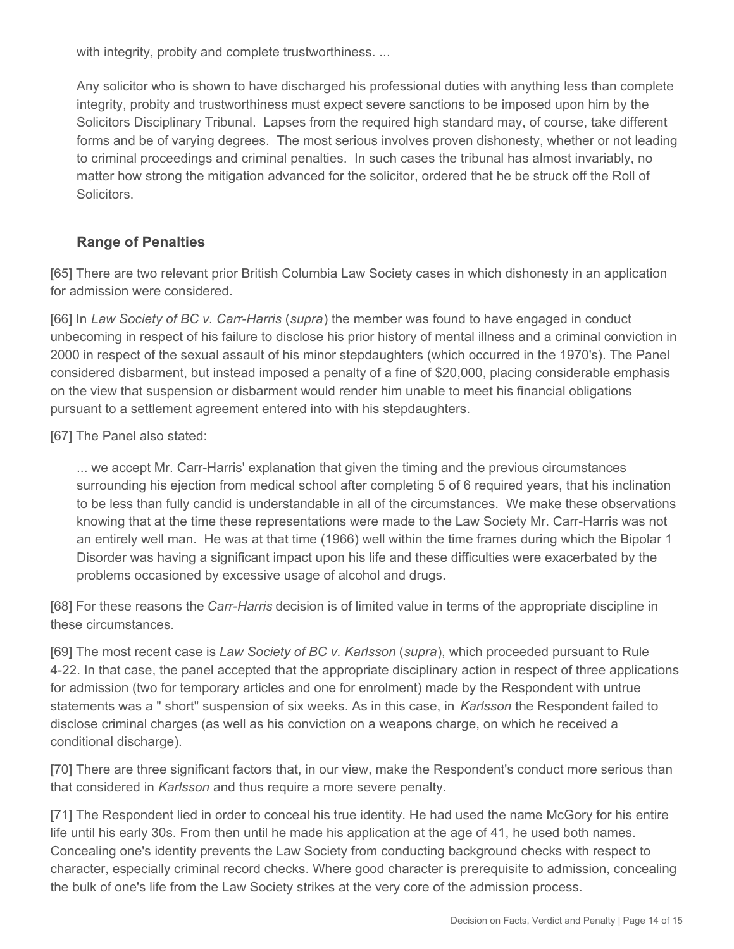with integrity, probity and complete trustworthiness. ...

Any solicitor who is shown to have discharged his professional duties with anything less than complete integrity, probity and trustworthiness must expect severe sanctions to be imposed upon him by the Solicitors Disciplinary Tribunal. Lapses from the required high standard may, of course, take different forms and be of varying degrees. The most serious involves proven dishonesty, whether or not leading to criminal proceedings and criminal penalties. In such cases the tribunal has almost invariably, no matter how strong the mitigation advanced for the solicitor, ordered that he be struck off the Roll of **Solicitors** 

## **Range of Penalties**

[65] There are two relevant prior British Columbia Law Society cases in which dishonesty in an application for admission were considered.

[66] In *Law Society of BC v. Carr-Harris* (*supra*) the member was found to have engaged in conduct unbecoming in respect of his failure to disclose his prior history of mental illness and a criminal conviction in 2000 in respect of the sexual assault of his minor stepdaughters (which occurred in the 1970's). The Panel considered disbarment, but instead imposed a penalty of a fine of \$20,000, placing considerable emphasis on the view that suspension or disbarment would render him unable to meet his financial obligations pursuant to a settlement agreement entered into with his stepdaughters.

[67] The Panel also stated:

... we accept Mr. Carr-Harris' explanation that given the timing and the previous circumstances surrounding his ejection from medical school after completing 5 of 6 required years, that his inclination to be less than fully candid is understandable in all of the circumstances. We make these observations knowing that at the time these representations were made to the Law Society Mr. Carr-Harris was not an entirely well man. He was at that time (1966) well within the time frames during which the Bipolar 1 Disorder was having a significant impact upon his life and these difficulties were exacerbated by the problems occasioned by excessive usage of alcohol and drugs.

[68] For these reasons the *Carr-Harris* decision is of limited value in terms of the appropriate discipline in these circumstances.

[69] The most recent case is *Law Society of BC v. Karlsson* (*supra*), which proceeded pursuant to Rule 4-22. In that case, the panel accepted that the appropriate disciplinary action in respect of three applications for admission (two for temporary articles and one for enrolment) made by the Respondent with untrue statements was a " short" suspension of six weeks. As in this case, in *Karlsson* the Respondent failed to disclose criminal charges (as well as his conviction on a weapons charge, on which he received a conditional discharge).

[70] There are three significant factors that, in our view, make the Respondent's conduct more serious than that considered in *Karlsson* and thus require a more severe penalty.

[71] The Respondent lied in order to conceal his true identity. He had used the name McGory for his entire life until his early 30s. From then until he made his application at the age of 41, he used both names. Concealing one's identity prevents the Law Society from conducting background checks with respect to character, especially criminal record checks. Where good character is prerequisite to admission, concealing the bulk of one's life from the Law Society strikes at the very core of the admission process.